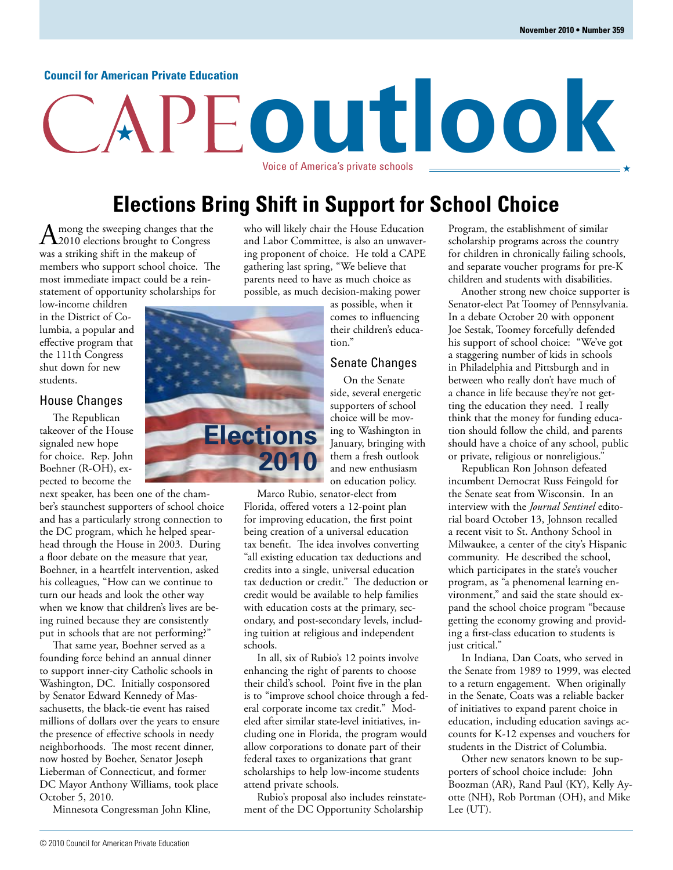#### **Council for American Private Education**

## **outlook** Voice of America's private schools

### **Elections Bring Shift in Support for School Choice**

 $A_{\text{2010}}$  elections brought to Congress was a striking shift in the makeup of members who support school choice. The most immediate impact could be a reinstatement of opportunity scholarships for

low-income children in the District of Columbia, a popular and effective program that the 111th Congress shut down for new students.

#### House Changes

The Republican takeover of the House signaled new hope for choice. Rep. John Boehner (R-OH), expected to become the

next speaker, has been one of the chamber's staunchest supporters of school choice and has a particularly strong connection to the DC program, which he helped spearhead through the House in 2003. During a floor debate on the measure that year, Boehner, in a heartfelt intervention, asked his colleagues, "How can we continue to turn our heads and look the other way when we know that children's lives are being ruined because they are consistently put in schools that are not performing?"

That same year, Boehner served as a founding force behind an annual dinner to support inner-city Catholic schools in Washington, DC. Initially cosponsored by Senator Edward Kennedy of Massachusetts, the black-tie event has raised millions of dollars over the years to ensure the presence of effective schools in needy neighborhoods. The most recent dinner, now hosted by Boeher, Senator Joseph Lieberman of Connecticut, and former DC Mayor Anthony Williams, took place October 5, 2010.

Minnesota Congressman John Kline,

who will likely chair the House Education and Labor Committee, is also an unwavering proponent of choice. He told a CAPE gathering last spring, "We believe that parents need to have as much choice as possible, as much decision-making power

as possible, when it comes to influencing their children's education."

#### Senate Changes

On the Senate side, several energetic supporters of school choice will be moving to Washington in January, bringing with them a fresh outlook and new enthusiasm on education policy.

Marco Rubio, senator-elect from Florida, offered voters a 12-point plan for improving education, the first point being creation of a universal education tax benefit. The idea involves converting "all existing education tax deductions and credits into a single, universal education tax deduction or credit." The deduction or credit would be available to help families with education costs at the primary, secondary, and post-secondary levels, including tuition at religious and independent schools.

In all, six of Rubio's 12 points involve enhancing the right of parents to choose their child's school. Point five in the plan is to "improve school choice through a federal corporate income tax credit." Modeled after similar state-level initiatives, including one in Florida, the program would allow corporations to donate part of their federal taxes to organizations that grant scholarships to help low-income students attend private schools.

Rubio's proposal also includes reinstatement of the DC Opportunity Scholarship

Program, the establishment of similar scholarship programs across the country for children in chronically failing schools, and separate voucher programs for pre-K children and students with disabilities.

Another strong new choice supporter is Senator-elect Pat Toomey of Pennsylvania. In a debate October 20 with opponent Joe Sestak, Toomey forcefully defended his support of school choice: "We've got a staggering number of kids in schools in Philadelphia and Pittsburgh and in between who really don't have much of a chance in life because they're not getting the education they need. I really think that the money for funding education should follow the child, and parents should have a choice of any school, public or private, religious or nonreligious."

Republican Ron Johnson defeated incumbent Democrat Russ Feingold for the Senate seat from Wisconsin. In an interview with the *Journal Sentinel* editorial board October 13, Johnson recalled a recent visit to St. Anthony School in Milwaukee, a center of the city's Hispanic community. He described the school, which participates in the state's voucher program, as "a phenomenal learning environment," and said the state should expand the school choice program "because getting the economy growing and providing a first-class education to students is just critical."

In Indiana, Dan Coats, who served in the Senate from 1989 to 1999, was elected to a return engagement. When originally in the Senate, Coats was a reliable backer of initiatives to expand parent choice in education, including education savings accounts for K-12 expenses and vouchers for students in the District of Columbia.

Other new senators known to be supporters of school choice include: John Boozman (AR), Rand Paul (KY), Kelly Ayotte (NH), Rob Portman (OH), and Mike Lee (UT).

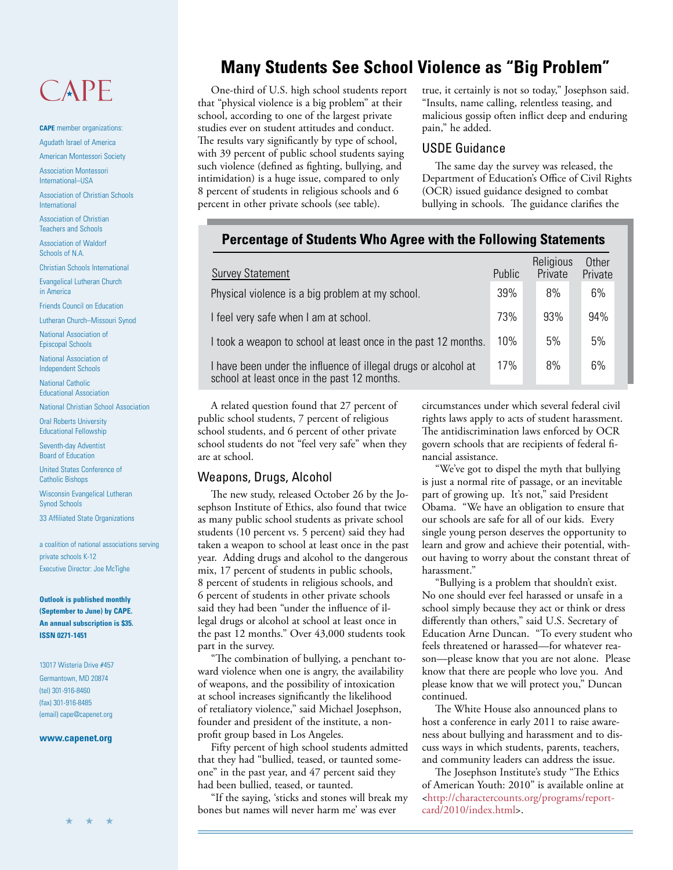## CAPE

**CAPE** member organizations: Agudath Israel of America

American Montessori Society

Association Montessori International–USA

Association of Christian Schools International

Association of Christian Teachers and Schools

Association of Waldorf Schools of N.A.

Christian Schools International

Evangelical Lutheran Church in America

Friends Council on Education Lutheran Church–Missouri Synod

National Association of

Episcopal Schools National Association of

Independent Schools National Catholic

Educational Association

National Christian School Association

Oral Roberts University Educational Fellowship

Seventh-day Adventist Board of Education

United States Conference of Catholic Bishops

Wisconsin Evangelical Lutheran Synod Schools

33 Affiliated State Organizations

a coalition of national associations serving private schools K-12 Executive Director: Joe McTighe

**Outlook is published monthly (September to June) by CAPE. An annual subscription is \$35. ISSN 0271-1451**

13017 Wisteria Drive #457 Germantown, MD 20874 (tel) 301-916-8460 (fax) 301-916-8485 (email) cape@capenet.org

#### **www.capenet.org**

★ ★ ★

#### **Many Students See School Violence as "Big Problem"**

One-third of U.S. high school students report that "physical violence is a big problem" at their school, according to one of the largest private studies ever on student attitudes and conduct. The results vary significantly by type of school, with 39 percent of public school students saying such violence (defined as fighting, bullying, and intimidation) is a huge issue, compared to only 8 percent of students in religious schools and 6 percent in other private schools (see table).

true, it certainly is not so today," Josephson said. "Insults, name calling, relentless teasing, and malicious gossip often inflict deep and enduring pain," he added.

#### USDE Guidance

The same day the survey was released, the Department of Education's Office of Civil Rights (OCR) issued guidance designed to combat bullying in schools. The guidance clarifies the

#### **Percentage of Students Who Agree with the Following Statements**

| <b>Survey Statement</b>                                                                                       | Public | Religious<br>Private | Other<br>Private |
|---------------------------------------------------------------------------------------------------------------|--------|----------------------|------------------|
| Physical violence is a big problem at my school.                                                              | 39%    | 8%                   | 6%               |
| I feel very safe when I am at school.                                                                         | 73%    | 93%                  | 94%              |
| I took a weapon to school at least once in the past 12 months.                                                | 10%    | 5%                   | 5%               |
| I have been under the influence of illegal drugs or alcohol at<br>school at least once in the past 12 months. | 17%    | 8%                   | 6%               |

A related question found that 27 percent of public school students, 7 percent of religious school students, and 6 percent of other private school students do not "feel very safe" when they are at school.

#### Weapons, Drugs, Alcohol

The new study, released October 26 by the Josephson Institute of Ethics, also found that twice as many public school students as private school students (10 percent vs. 5 percent) said they had taken a weapon to school at least once in the past year. Adding drugs and alcohol to the dangerous mix, 17 percent of students in public schools, 8 percent of students in religious schools, and 6 percent of students in other private schools said they had been "under the influence of illegal drugs or alcohol at school at least once in the past 12 months." Over 43,000 students took part in the survey.

"The combination of bullying, a penchant toward violence when one is angry, the availability of weapons, and the possibility of intoxication at school increases significantly the likelihood of retaliatory violence," said Michael Josephson, founder and president of the institute, a nonprofit group based in Los Angeles.

Fifty percent of high school students admitted that they had "bullied, teased, or taunted someone" in the past year, and 47 percent said they had been bullied, teased, or taunted.

"If the saying, 'sticks and stones will break my bones but names will never harm me' was ever

circumstances under which several federal civil rights laws apply to acts of student harassment. The antidiscrimination laws enforced by OCR govern schools that are recipients of federal financial assistance.

"We've got to dispel the myth that bullying is just a normal rite of passage, or an inevitable part of growing up. It's not," said President Obama. "We have an obligation to ensure that our schools are safe for all of our kids. Every single young person deserves the opportunity to learn and grow and achieve their potential, without having to worry about the constant threat of harassment."

"Bullying is a problem that shouldn't exist. No one should ever feel harassed or unsafe in a school simply because they act or think or dress differently than others," said U.S. Secretary of Education Arne Duncan. "To every student who feels threatened or harassed—for whatever reason—please know that you are not alone. Please know that there are people who love you. And please know that we will protect you," Duncan continued.

The White House also announced plans to host a conference in early 2011 to raise awareness about bullying and harassment and to discuss ways in which students, parents, teachers, and community leaders can address the issue.

The Josephson Institute's study "The Ethics of American Youth: 2010" is available online at [<http://charactercounts.org/programs/report](http://charactercounts.org/programs/reportcard/2010/index.html)card/2010/index.html>.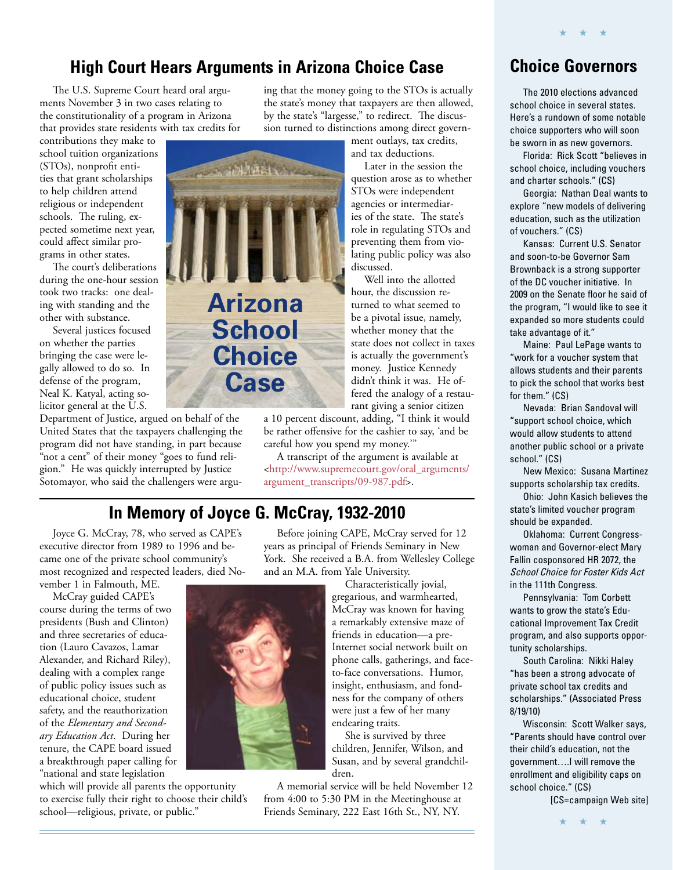#### **High Court Hears Arguments in Arizona Choice Case**

THE SOUTH AND THE

The U.S. Supreme Court heard oral arguments November 3 in two cases relating to the constitutionality of a program in Arizona that provides state residents with tax credits for

contributions they make to school tuition organizations (STOs), nonprofit entities that grant scholarships to help children attend religious or independent schools. The ruling, expected sometime next year, could affect similar programs in other states.

The court's deliberations during the one-hour session took two tracks: one dealing with standing and the other with substance.

Several justices focused on whether the parties bringing the case were legally allowed to do so. In defense of the program, Neal K. Katyal, acting solicitor general at the U.S.

Department of Justice, argued on behalf of the United States that the taxpayers challenging the program did not have standing, in part because "not a cent" of their money "goes to fund religion." He was quickly interrupted by Justice Sotomayor, who said the challengers were arguing that the money going to the STOs is actually the state's money that taxpayers are then allowed, by the state's "largesse," to redirect. The discussion turned to distinctions among direct govern-

ment outlays, tax credits, and tax deductions.

Later in the session the question arose as to whether STOs were independent agencies or intermediaries of the state. The state's role in regulating STOs and preventing them from violating public policy was also discussed.

Well into the allotted hour, the discussion returned to what seemed to be a pivotal issue, namely, whether money that the state does not collect in taxes is actually the government's money. Justice Kennedy didn't think it was. He offered the analogy of a restaurant giving a senior citizen

a 10 percent discount, adding, "I think it would be rather offensive for the cashier to say, 'and be careful how you spend my money.'"

A transcript of the argument is available at [<http://www.supremecourt.gov/oral\\_arguments/](http://www.supremecourt.gov/oral_arguments/argument_transcripts/09-987.pdf) argument\_transcripts/09-987.pdf>.

#### **In Memory of Joyce G. McCray, 1932-2010**

**Arizona** 

**School** 

**Choice**

**Case**

Joyce G. McCray, 78, who served as CAPE's executive director from 1989 to 1996 and became one of the private school community's most recognized and respected leaders, died November 1 in Falmouth, ME.

McCray guided CAPE's course during the terms of two presidents (Bush and Clinton) and three secretaries of education (Lauro Cavazos, Lamar Alexander, and Richard Riley), dealing with a complex range of public policy issues such as educational choice, student safety, and the reauthorization of the *Elementary and Secondary Education Act*. During her tenure, the CAPE board issued a breakthrough paper calling for "national and state legislation

which will provide all parents the opportunity to exercise fully their right to choose their child's school—religious, private, or public."

Before joining CAPE, McCray served for 12 years as principal of Friends Seminary in New York. She received a B.A. from Wellesley College and an M.A. from Yale University.

Characteristically jovial, gregarious, and warmhearted, McCray was known for having a remarkably extensive maze of friends in education—a pre-Internet social network built on phone calls, gatherings, and faceto-face conversations. Humor, insight, enthusiasm, and fondness for the company of others were just a few of her many endearing traits.

She is survived by three children, Jennifer, Wilson, and Susan, and by several grandchildren.

A memorial service will be held November 12 from 4:00 to 5:30 PM in the Meetinghouse at Friends Seminary, 222 East 16th St., NY, NY.

#### **Choice Governors**

★ ★ ★

The 2010 elections advanced school choice in several states. Here's a rundown of some notable choice supporters who will soon be sworn in as new governors.

Florida: Rick Scott "believes in school choice, including vouchers and charter schools." (CS)

Georgia: Nathan Deal wants to explore "new models of delivering education, such as the utilization of vouchers." (CS)

Kansas: Current U.S. Senator and soon-to-be Governor Sam Brownback is a strong supporter of the DC voucher initiative. In 2009 on the Senate floor he said of the program, "I would like to see it expanded so more students could take advantage of it."

Maine: Paul LePage wants to "work for a voucher system that allows students and their parents to pick the school that works best for them." (CS)

Nevada: Brian Sandoval will "support school choice, which would allow students to attend another public school or a private school." (CS)

New Mexico: Susana Martinez supports scholarship tax credits.

Ohio: John Kasich believes the state's limited voucher program should be expanded.

Oklahoma: Current Congresswoman and Governor-elect Mary Fallin cosponsored HR 2072, the School Choice for Foster Kids Act in the 111th Congress.

Pennsylvania: Tom Corbett wants to grow the state's Educational Improvement Tax Credit program, and also supports opportunity scholarships.

South Carolina: Nikki Haley "has been a strong advocate of private school tax credits and scholarships." (Associated Press 8/19/10)

Wisconsin: Scott Walker says, "Parents should have control over their child's education, not the government….I will remove the enrollment and eligibility caps on school choice." (CS)

[CS=campaign Web site]

★ ★ ★